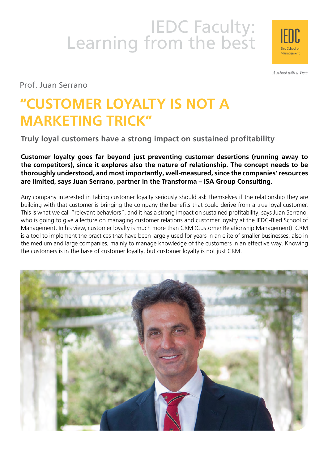# IEDC Faculty:<br>Learning from the best



A School with a View

Prof. Juan Serrano

## **"CUSTOMER LOYALTY IS NOT A MARKETING TRICK"**

**Truly loyal customers have a strong impact on sustained profitability**

**Customer loyalty goes far beyond just preventing customer desertions (running away to the competitors), since it explores also the nature of relationship. The concept needs to be thoroughly understood, and most importantly, well-measured, since the companies' resources are limited, says Juan Serrano, partner in the Transforma – ISA Group Consulting.**

Any company interested in taking customer loyalty seriously should ask themselves if the relationship they are building with that customer is bringing the company the benefits that could derive from a true loyal customer. This is what we call "relevant behaviors", and it has a strong impact on sustained profitability, says Juan Serrano, who is going to give a lecture on managing customer relations and customer loyalty at the IEDC-Bled School of Management. In his view, customer loyalty is much more than CRM (Customer Relationship Management): CRM is a tool to implement the practices that have been largely used for years in an elite of smaller businesses, also in the medium and large companies, mainly to manage knowledge of the customers in an effective way. Knowing the customers is in the base of customer loyalty, but customer loyalty is not just CRM.